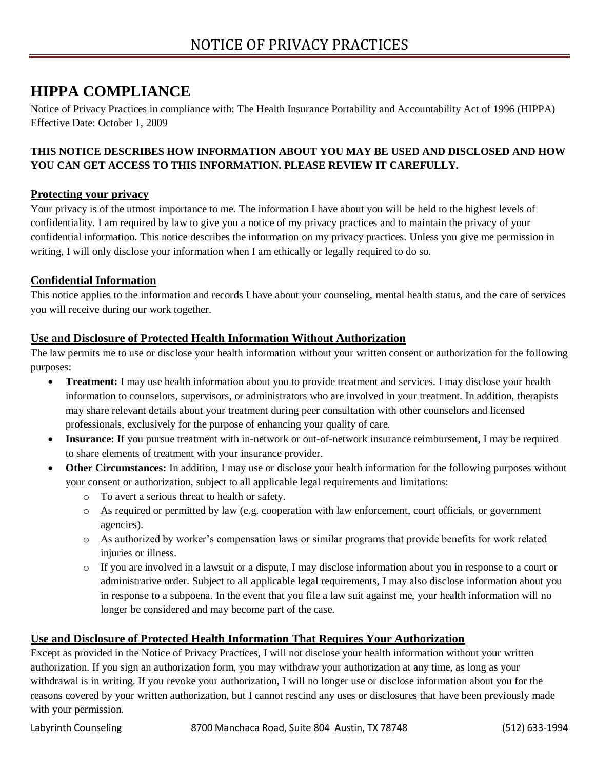# **HIPPA COMPLIANCE**

Notice of Privacy Practices in compliance with: The Health Insurance Portability and Accountability Act of 1996 (HIPPA) Effective Date: October 1, 2009

## **THIS NOTICE DESCRIBES HOW INFORMATION ABOUT YOU MAY BE USED AND DISCLOSED AND HOW YOU CAN GET ACCESS TO THIS INFORMATION. PLEASE REVIEW IT CAREFULLY.**

## **Protecting your privacy**

Your privacy is of the utmost importance to me. The information I have about you will be held to the highest levels of confidentiality. I am required by law to give you a notice of my privacy practices and to maintain the privacy of your confidential information. This notice describes the information on my privacy practices. Unless you give me permission in writing, I will only disclose your information when I am ethically or legally required to do so.

## **Confidential Information**

This notice applies to the information and records I have about your counseling, mental health status, and the care of services you will receive during our work together.

## **Use and Disclosure of Protected Health Information Without Authorization**

The law permits me to use or disclose your health information without your written consent or authorization for the following purposes:

- **Treatment:** I may use health information about you to provide treatment and services. I may disclose your health information to counselors, supervisors, or administrators who are involved in your treatment. In addition, therapists may share relevant details about your treatment during peer consultation with other counselors and licensed professionals, exclusively for the purpose of enhancing your quality of care.
- **Insurance:** If you pursue treatment with in-network or out-of-network insurance reimbursement, I may be required to share elements of treatment with your insurance provider.
- **Other Circumstances:** In addition, I may use or disclose your health information for the following purposes without your consent or authorization, subject to all applicable legal requirements and limitations:
	- o To avert a serious threat to health or safety.
	- o As required or permitted by law (e.g. cooperation with law enforcement, court officials, or government agencies).
	- o As authorized by worker's compensation laws or similar programs that provide benefits for work related injuries or illness.
	- o If you are involved in a lawsuit or a dispute, I may disclose information about you in response to a court or administrative order. Subject to all applicable legal requirements, I may also disclose information about you in response to a subpoena. In the event that you file a law suit against me, your health information will no longer be considered and may become part of the case.

## **Use and Disclosure of Protected Health Information That Requires Your Authorization**

Except as provided in the Notice of Privacy Practices, I will not disclose your health information without your written authorization. If you sign an authorization form, you may withdraw your authorization at any time, as long as your withdrawal is in writing. If you revoke your authorization, I will no longer use or disclose information about you for the reasons covered by your written authorization, but I cannot rescind any uses or disclosures that have been previously made with your permission.